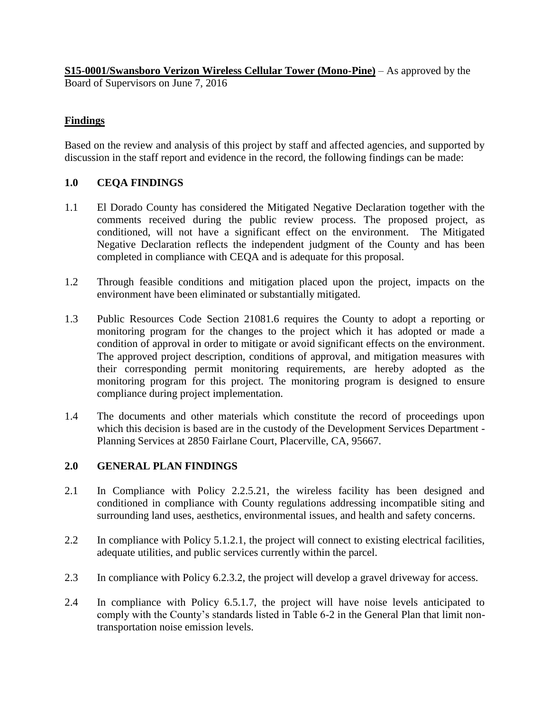**S15-0001/Swansboro Verizon Wireless Cellular Tower (Mono-Pine)** – As approved by the Board of Supervisors on June 7, 2016

# **Findings**

Based on the review and analysis of this project by staff and affected agencies, and supported by discussion in the staff report and evidence in the record, the following findings can be made:

# **1.0 CEQA FINDINGS**

- 1.1 El Dorado County has considered the Mitigated Negative Declaration together with the comments received during the public review process. The proposed project, as conditioned, will not have a significant effect on the environment. The Mitigated Negative Declaration reflects the independent judgment of the County and has been completed in compliance with CEQA and is adequate for this proposal.
- 1.2 Through feasible conditions and mitigation placed upon the project, impacts on the environment have been eliminated or substantially mitigated.
- 1.3 Public Resources Code Section 21081.6 requires the County to adopt a reporting or monitoring program for the changes to the project which it has adopted or made a condition of approval in order to mitigate or avoid significant effects on the environment. The approved project description, conditions of approval, and mitigation measures with their corresponding permit monitoring requirements, are hereby adopted as the monitoring program for this project. The monitoring program is designed to ensure compliance during project implementation.
- 1.4 The documents and other materials which constitute the record of proceedings upon which this decision is based are in the custody of the Development Services Department -Planning Services at 2850 Fairlane Court, Placerville, CA, 95667.

## **2.0 GENERAL PLAN FINDINGS**

- 2.1 In Compliance with Policy 2.2.5.21, the wireless facility has been designed and conditioned in compliance with County regulations addressing incompatible siting and surrounding land uses, aesthetics, environmental issues, and health and safety concerns.
- 2.2 In compliance with Policy 5.1.2.1, the project will connect to existing electrical facilities, adequate utilities, and public services currently within the parcel.
- 2.3 In compliance with Policy 6.2.3.2, the project will develop a gravel driveway for access.
- 2.4 In compliance with Policy 6.5.1.7, the project will have noise levels anticipated to comply with the County's standards listed in Table 6-2 in the General Plan that limit nontransportation noise emission levels.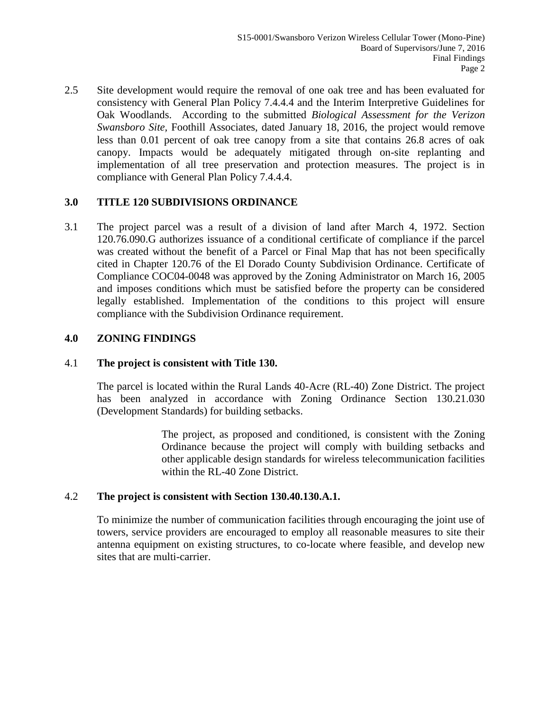2.5 Site development would require the removal of one oak tree and has been evaluated for consistency with General Plan Policy 7.4.4.4 and the Interim Interpretive Guidelines for Oak Woodlands. According to the submitted *Biological Assessment for the Verizon Swansboro Site,* Foothill Associates, dated January 18, 2016, the project would remove less than 0.01 percent of oak tree canopy from a site that contains 26.8 acres of oak canopy. Impacts would be adequately mitigated through on-site replanting and implementation of all tree preservation and protection measures. The project is in compliance with General Plan Policy 7.4.4.4.

## **3.0 TITLE 120 SUBDIVISIONS ORDINANCE**

3.1 The project parcel was a result of a division of land after March 4, 1972. Section 120.76.090.G authorizes issuance of a conditional certificate of compliance if the parcel was created without the benefit of a Parcel or Final Map that has not been specifically cited in Chapter 120.76 of the El Dorado County Subdivision Ordinance. Certificate of Compliance COC04-0048 was approved by the Zoning Administrator on March 16, 2005 and imposes conditions which must be satisfied before the property can be considered legally established. Implementation of the conditions to this project will ensure compliance with the Subdivision Ordinance requirement.

## **4.0 ZONING FINDINGS**

## 4.1 **The project is consistent with Title 130.**

The parcel is located within the Rural Lands 40-Acre (RL-40) Zone District. The project has been analyzed in accordance with Zoning Ordinance Section 130.21.030 (Development Standards) for building setbacks.

> The project, as proposed and conditioned, is consistent with the Zoning Ordinance because the project will comply with building setbacks and other applicable design standards for wireless telecommunication facilities within the RL-40 Zone District.

## 4.2 **The project is consistent with Section 130.40.130.A.1.**

To minimize the number of communication facilities through encouraging the joint use of towers, service providers are encouraged to employ all reasonable measures to site their antenna equipment on existing structures, to co-locate where feasible, and develop new sites that are multi-carrier.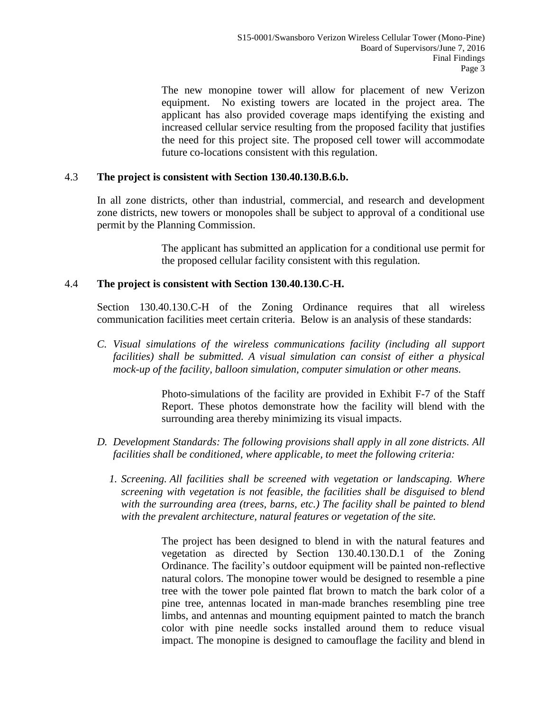The new monopine tower will allow for placement of new Verizon equipment. No existing towers are located in the project area. The applicant has also provided coverage maps identifying the existing and increased cellular service resulting from the proposed facility that justifies the need for this project site. The proposed cell tower will accommodate future co-locations consistent with this regulation.

#### 4.3 **The project is consistent with Section 130.40.130.B.6.b.**

In all zone districts, other than industrial, commercial, and research and development zone districts, new towers or monopoles shall be subject to approval of a conditional use permit by the Planning Commission.

> The applicant has submitted an application for a conditional use permit for the proposed cellular facility consistent with this regulation.

#### 4.4 **The project is consistent with Section 130.40.130.C-H.**

Section 130.40.130.C-H of the Zoning Ordinance requires that all wireless communication facilities meet certain criteria. Below is an analysis of these standards:

*C. Visual simulations of the wireless communications facility (including all support facilities)* shall be submitted. A visual simulation can consist of either a physical *mock-up of the facility, balloon simulation, computer simulation or other means.*

> Photo-simulations of the facility are provided in Exhibit F-7 of the Staff Report. These photos demonstrate how the facility will blend with the surrounding area thereby minimizing its visual impacts.

- *D. Development Standards: The following provisions shall apply in all zone districts. All facilities shall be conditioned, where applicable, to meet the following criteria:*
	- *1. Screening. All facilities shall be screened with vegetation or landscaping. Where screening with vegetation is not feasible, the facilities shall be disguised to blend with the surrounding area (trees, barns, etc.) The facility shall be painted to blend with the prevalent architecture, natural features or vegetation of the site.*

The project has been designed to blend in with the natural features and vegetation as directed by Section 130.40.130.D.1 of the Zoning Ordinance. The facility's outdoor equipment will be painted non-reflective natural colors. The monopine tower would be designed to resemble a pine tree with the tower pole painted flat brown to match the bark color of a pine tree, antennas located in man-made branches resembling pine tree limbs, and antennas and mounting equipment painted to match the branch color with pine needle socks installed around them to reduce visual impact. The monopine is designed to camouflage the facility and blend in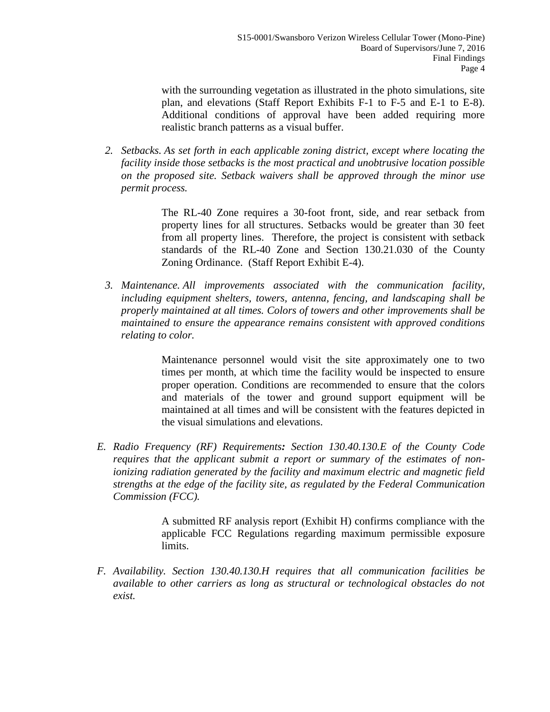with the surrounding vegetation as illustrated in the photo simulations, site plan, and elevations (Staff Report Exhibits F-1 to F-5 and E-1 to E-8). Additional conditions of approval have been added requiring more realistic branch patterns as a visual buffer.

*2. Setbacks. As set forth in each applicable zoning district, except where locating the facility inside those setbacks is the most practical and unobtrusive location possible on the proposed site. Setback waivers shall be approved through the minor use permit process.*

> The RL-40 Zone requires a 30-foot front, side, and rear setback from property lines for all structures. Setbacks would be greater than 30 feet from all property lines. Therefore, the project is consistent with setback standards of the RL-40 Zone and Section 130.21.030 of the County Zoning Ordinance. (Staff Report Exhibit E-4).

*3. Maintenance. All improvements associated with the communication facility, including equipment shelters, towers, antenna, fencing, and landscaping shall be properly maintained at all times. Colors of towers and other improvements shall be maintained to ensure the appearance remains consistent with approved conditions relating to color.*

> Maintenance personnel would visit the site approximately one to two times per month, at which time the facility would be inspected to ensure proper operation. Conditions are recommended to ensure that the colors and materials of the tower and ground support equipment will be maintained at all times and will be consistent with the features depicted in the visual simulations and elevations.

*E. Radio Frequency (RF) Requirements: Section 130.40.130.E of the County Code requires that the applicant submit a report or summary of the estimates of nonionizing radiation generated by the facility and maximum electric and magnetic field strengths at the edge of the facility site, as regulated by the Federal Communication Commission (FCC).* 

> A submitted RF analysis report (Exhibit H) confirms compliance with the applicable FCC Regulations regarding maximum permissible exposure limits.

*F. Availability. Section 130.40.130.H requires that all communication facilities be available to other carriers as long as structural or technological obstacles do not exist.*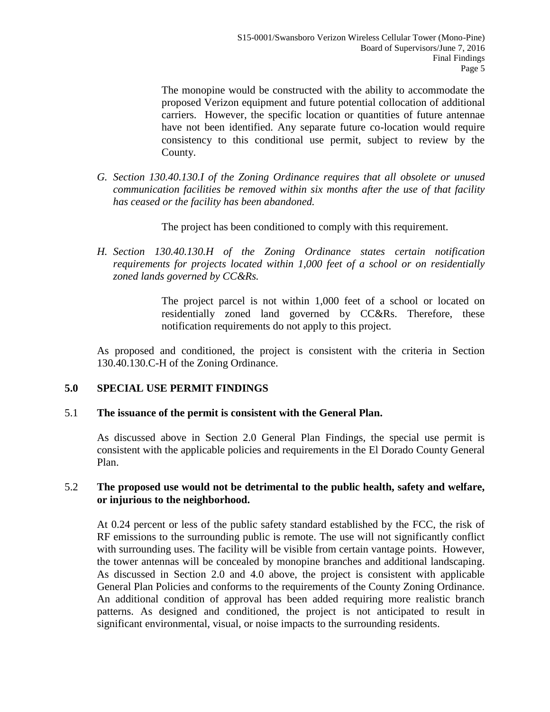The monopine would be constructed with the ability to accommodate the proposed Verizon equipment and future potential collocation of additional carriers. However, the specific location or quantities of future antennae have not been identified. Any separate future co-location would require consistency to this conditional use permit, subject to review by the County.

*G. Section 130.40.130.I of the Zoning Ordinance requires that all obsolete or unused communication facilities be removed within six months after the use of that facility has ceased or the facility has been abandoned.*

The project has been conditioned to comply with this requirement.

*H. Section 130.40.130.H of the Zoning Ordinance states certain notification requirements for projects located within 1,000 feet of a school or on residentially zoned lands governed by CC&Rs.*

> The project parcel is not within 1,000 feet of a school or located on residentially zoned land governed by CC&Rs. Therefore, these notification requirements do not apply to this project.

As proposed and conditioned, the project is consistent with the criteria in Section 130.40.130.C-H of the Zoning Ordinance.

## **5.0 SPECIAL USE PERMIT FINDINGS**

## 5.1 **The issuance of the permit is consistent with the General Plan.**

As discussed above in Section 2.0 General Plan Findings, the special use permit is consistent with the applicable policies and requirements in the El Dorado County General Plan.

#### 5.2 **The proposed use would not be detrimental to the public health, safety and welfare, or injurious to the neighborhood.**

At 0.24 percent or less of the public safety standard established by the FCC, the risk of RF emissions to the surrounding public is remote. The use will not significantly conflict with surrounding uses. The facility will be visible from certain vantage points. However, the tower antennas will be concealed by monopine branches and additional landscaping. As discussed in Section 2.0 and 4.0 above, the project is consistent with applicable General Plan Policies and conforms to the requirements of the County Zoning Ordinance. An additional condition of approval has been added requiring more realistic branch patterns. As designed and conditioned, the project is not anticipated to result in significant environmental, visual, or noise impacts to the surrounding residents.